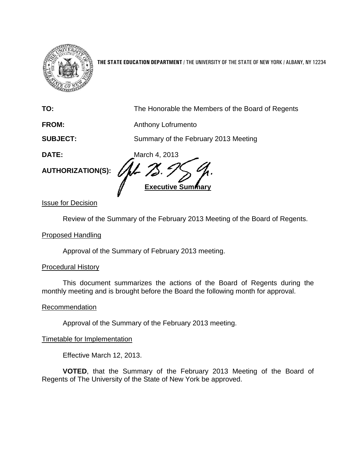

**THE STATE EDUCATION DEPARTMENT** / THE UNIVERSITY OF THE STATE OF NEW YORK / ALBANY, NY 12234

| TO:                      | The Honorable the Members of the Board of Regents |
|--------------------------|---------------------------------------------------|
| <b>FROM:</b>             | Anthony Lofrumento                                |
| <b>SUBJECT:</b>          | Summary of the February 2013 Meeting              |
| <b>DATE:</b>             | March 4, 2013                                     |
| <b>AUTHORIZATION(S):</b> | <b>Executive Summary</b>                          |

Issue for Decision

Review of the Summary of the February 2013 Meeting of the Board of Regents.

## Proposed Handling

Approval of the Summary of February 2013 meeting.

#### Procedural History

This document summarizes the actions of the Board of Regents during the monthly meeting and is brought before the Board the following month for approval.

#### **Recommendation**

Approval of the Summary of the February 2013 meeting.

#### Timetable for Implementation

Effective March 12, 2013.

**VOTED**, that the Summary of the February 2013 Meeting of the Board of Regents of The University of the State of New York be approved.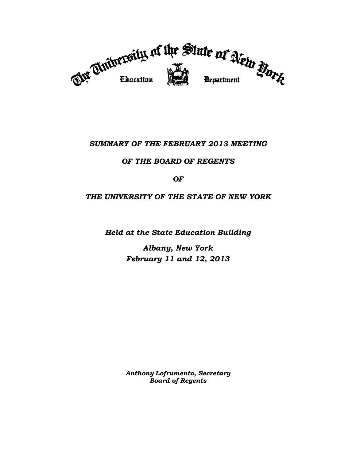

# *SUMMARY OF THE FEBRUARY 2013 MEETING*

# *OF THE BOARD OF REGENTS*

## *OF*

# *THE UNIVERSITY OF THE STATE OF NEW YORK*

*Held at the State Education Building*

*Albany, New York February 11 and 12, 2013*

*Anthony Lofrumento, Secretary Board of Regents*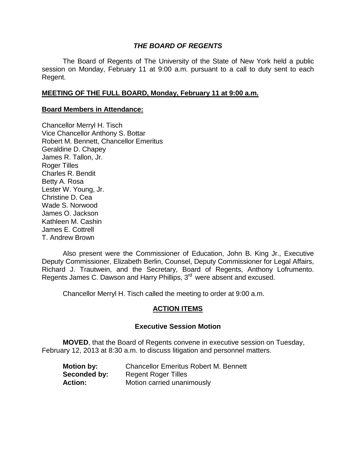## *THE BOARD OF REGENTS*

The Board of Regents of The University of the State of New York held a public session on Monday, February 11 at 9:00 a.m. pursuant to a call to duty sent to each Regent.

## **MEETING OF THE FULL BOARD, Monday, February 11 at 9:00 a.m.**

#### **Board Members in Attendance:**

Chancellor Merryl H. Tisch Vice Chancellor Anthony S. Bottar Robert M. Bennett, Chancellor Emeritus Geraldine D. Chapey James R. Tallon, Jr. Roger Tilles Charles R. Bendit Betty A. Rosa Lester W. Young, Jr. Christine D. Cea Wade S. Norwood James O. Jackson Kathleen M. Cashin James E. Cottrell T. Andrew Brown

Also present were the Commissioner of Education, John B. King Jr., Executive Deputy Commissioner, Elizabeth Berlin, Counsel, Deputy Commissioner for Legal Affairs, Richard J. Trautwein, and the Secretary, Board of Regents, Anthony Lofrumento. Regents James C. Dawson and Harry Phillips, 3<sup>rd</sup> were absent and excused.

Chancellor Merryl H. Tisch called the meeting to order at 9:00 a.m.

## **ACTION ITEMS**

#### **Executive Session Motion**

**MOVED**, that the Board of Regents convene in executive session on Tuesday, February 12, 2013 at 8:30 a.m. to discuss litigation and personnel matters.

| <b>Motion by:</b> | <b>Chancellor Emeritus Robert M. Bennett</b> |
|-------------------|----------------------------------------------|
| Seconded by:      | <b>Regent Roger Tilles</b>                   |
| <b>Action:</b>    | Motion carried unanimously                   |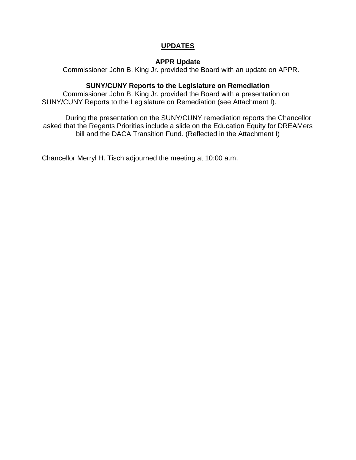# **UPDATES**

#### **APPR Update**

Commissioner John B. King Jr. provided the Board with an update on APPR.

## **SUNY/CUNY Reports to the Legislature on Remediation**

Commissioner John B. King Jr. provided the Board with a presentation on SUNY/CUNY Reports to the Legislature on Remediation (see Attachment I).

During the presentation on the SUNY/CUNY remediation reports the Chancellor asked that the Regents Priorities include a slide on the Education Equity for DREAMers bill and the DACA Transition Fund. (Reflected in the Attachment I)

Chancellor Merryl H. Tisch adjourned the meeting at 10:00 a.m.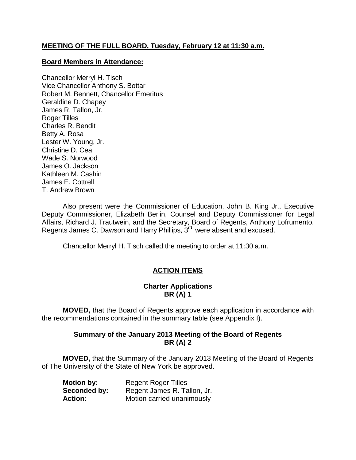# **MEETING OF THE FULL BOARD, Tuesday, February 12 at 11:30 a.m.**

#### **Board Members in Attendance:**

Chancellor Merryl H. Tisch Vice Chancellor Anthony S. Bottar Robert M. Bennett, Chancellor Emeritus Geraldine D. Chapey James R. Tallon, Jr. Roger Tilles Charles R. Bendit Betty A. Rosa Lester W. Young, Jr. Christine D. Cea Wade S. Norwood James O. Jackson Kathleen M. Cashin James E. Cottrell T. Andrew Brown

Also present were the Commissioner of Education, John B. King Jr., Executive Deputy Commissioner, Elizabeth Berlin, Counsel and Deputy Commissioner for Legal Affairs, Richard J. Trautwein, and the Secretary, Board of Regents, Anthony Lofrumento. Regents James C. Dawson and Harry Phillips, 3<sup>rd</sup> were absent and excused.

Chancellor Merryl H. Tisch called the meeting to order at 11:30 a.m.

# **ACTION ITEMS**

#### **Charter Applications BR (A) 1**

**MOVED,** that the Board of Regents approve each application in accordance with the recommendations contained in the summary table (see Appendix I).

## **Summary of the January 2013 Meeting of the Board of Regents BR (A) 2**

**MOVED,** that the Summary of the January 2013 Meeting of the Board of Regents of The University of the State of New York be approved.

| <b>Motion by:</b> | <b>Regent Roger Tilles</b>  |
|-------------------|-----------------------------|
| Seconded by:      | Regent James R. Tallon, Jr. |
| <b>Action:</b>    | Motion carried unanimously  |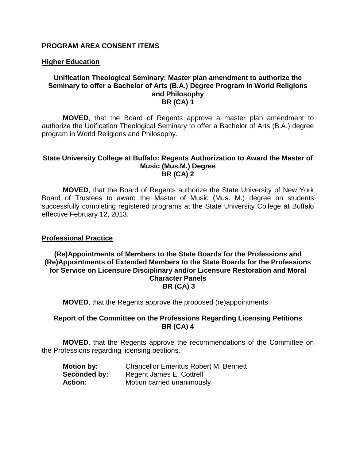#### **PROGRAM AREA CONSENT ITEMS**

#### **Higher Education**

#### **Unification Theological Seminary: Master plan amendment to authorize the Seminary to offer a Bachelor of Arts (B.A.) Degree Program in World Religions and Philosophy BR (CA) 1**

**MOVED**, that the Board of Regents approve a master plan amendment to authorize the Unification Theological Seminary to offer a Bachelor of Arts (B.A.) degree program in World Religions and Philosophy.

#### **State University College at Buffalo: Regents Authorization to Award the Master of Music (Mus.M.) Degree BR (CA) 2**

**MOVED**, that the Board of Regents authorize the State University of New York Board of Trustees to award the Master of Music (Mus. M.) degree on students successfully completing registered programs at the State University College at Buffalo effective February 12, 2013.

#### **Professional Practice**

#### **(Re)Appointments of Members to the State Boards for the Professions and (Re)Appointments of Extended Members to the State Boards for the Professions for Service on Licensure Disciplinary and/or Licensure Restoration and Moral Character Panels BR (CA) 3**

**MOVED**, that the Regents approve the proposed (re)appointments.

#### **Report of the Committee on the Professions Regarding Licensing Petitions BR (CA) 4**

**MOVED**, that the Regents approve the recommendations of the Committee on the Professions regarding licensing petitions.

| <b>Motion by:</b> | <b>Chancellor Emeritus Robert M. Bennett</b> |
|-------------------|----------------------------------------------|
| Seconded by:      | Regent James E. Cottrell                     |
| <b>Action:</b>    | Motion carried unanimously                   |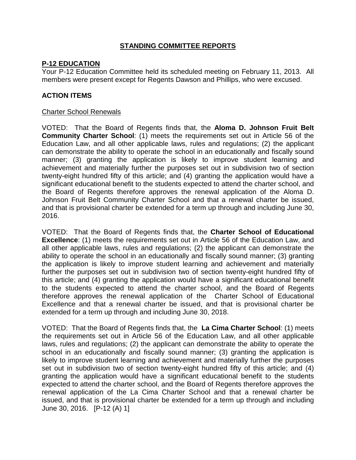## **STANDING COMMITTEE REPORTS**

## **P-12 EDUCATION**

Your P-12 Education Committee held its scheduled meeting on February 11, 2013. All members were present except for Regents Dawson and Phillips, who were excused.

# **ACTION ITEMS**

#### Charter School Renewals

VOTED: That the Board of Regents finds that, the **Aloma D. Johnson Fruit Belt Community Charter School**: (1) meets the requirements set out in Article 56 of the Education Law, and all other applicable laws, rules and regulations; (2) the applicant can demonstrate the ability to operate the school in an educationally and fiscally sound manner; (3) granting the application is likely to improve student learning and achievement and materially further the purposes set out in subdivision two of section twenty-eight hundred fifty of this article; and (4) granting the application would have a significant educational benefit to the students expected to attend the charter school, and the Board of Regents therefore approves the renewal application of the Aloma D. Johnson Fruit Belt Community Charter School and that a renewal charter be issued, and that is provisional charter be extended for a term up through and including June 30, 2016.

VOTED: That the Board of Regents finds that, the **Charter School of Educational Excellence**: (1) meets the requirements set out in Article 56 of the Education Law, and all other applicable laws, rules and regulations; (2) the applicant can demonstrate the ability to operate the school in an educationally and fiscally sound manner; (3) granting the application is likely to improve student learning and achievement and materially further the purposes set out in subdivision two of section twenty-eight hundred fifty of this article; and (4) granting the application would have a significant educational benefit to the students expected to attend the charter school, and the Board of Regents therefore approves the renewal application of the Charter School of Educational Excellence and that a renewal charter be issued, and that is provisional charter be extended for a term up through and including June 30, 2018.

VOTED: That the Board of Regents finds that, the **La Cima Charter School**: (1) meets the requirements set out in Article 56 of the Education Law, and all other applicable laws, rules and regulations; (2) the applicant can demonstrate the ability to operate the school in an educationally and fiscally sound manner; (3) granting the application is likely to improve student learning and achievement and materially further the purposes set out in subdivision two of section twenty-eight hundred fifty of this article; and (4) granting the application would have a significant educational benefit to the students expected to attend the charter school, and the Board of Regents therefore approves the renewal application of the La Cima Charter School and that a renewal charter be issued, and that is provisional charter be extended for a term up through and including June 30, 2016. [P-12 (A) 1]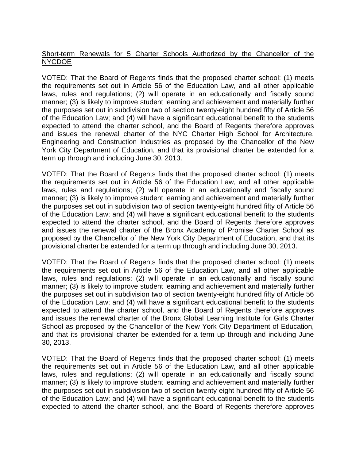## Short-term Renewals for 5 Charter Schools Authorized by the Chancellor of the NYCDOE

VOTED: That the Board of Regents finds that the proposed charter school: (1) meets the requirements set out in Article 56 of the Education Law, and all other applicable laws, rules and regulations; (2) will operate in an educationally and fiscally sound manner; (3) is likely to improve student learning and achievement and materially further the purposes set out in subdivision two of section twenty-eight hundred fifty of Article 56 of the Education Law; and (4) will have a significant educational benefit to the students expected to attend the charter school, and the Board of Regents therefore approves and issues the renewal charter of the NYC Charter High School for Architecture, Engineering and Construction Industries as proposed by the Chancellor of the New York City Department of Education, and that its provisional charter be extended for a term up through and including June 30, 2013.

VOTED: That the Board of Regents finds that the proposed charter school: (1) meets the requirements set out in Article 56 of the Education Law, and all other applicable laws, rules and regulations; (2) will operate in an educationally and fiscally sound manner; (3) is likely to improve student learning and achievement and materially further the purposes set out in subdivision two of section twenty-eight hundred fifty of Article 56 of the Education Law; and (4) will have a significant educational benefit to the students expected to attend the charter school, and the Board of Regents therefore approves and issues the renewal charter of the Bronx Academy of Promise Charter School as proposed by the Chancellor of the New York City Department of Education, and that its provisional charter be extended for a term up through and including June 30, 2013.

VOTED: That the Board of Regents finds that the proposed charter school: (1) meets the requirements set out in Article 56 of the Education Law, and all other applicable laws, rules and regulations; (2) will operate in an educationally and fiscally sound manner; (3) is likely to improve student learning and achievement and materially further the purposes set out in subdivision two of section twenty-eight hundred fifty of Article 56 of the Education Law; and (4) will have a significant educational benefit to the students expected to attend the charter school, and the Board of Regents therefore approves and issues the renewal charter of the Bronx Global Learning Institute for Girls Charter School as proposed by the Chancellor of the New York City Department of Education, and that its provisional charter be extended for a term up through and including June 30, 2013.

VOTED: That the Board of Regents finds that the proposed charter school: (1) meets the requirements set out in Article 56 of the Education Law, and all other applicable laws, rules and regulations; (2) will operate in an educationally and fiscally sound manner; (3) is likely to improve student learning and achievement and materially further the purposes set out in subdivision two of section twenty-eight hundred fifty of Article 56 of the Education Law; and (4) will have a significant educational benefit to the students expected to attend the charter school, and the Board of Regents therefore approves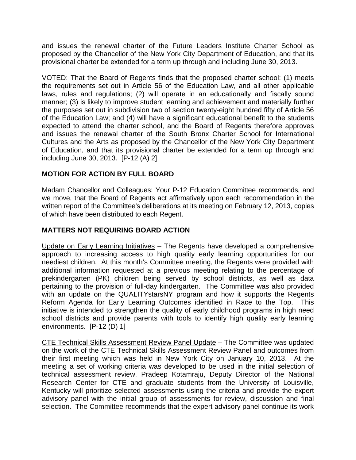and issues the renewal charter of the Future Leaders Institute Charter School as proposed by the Chancellor of the New York City Department of Education, and that its provisional charter be extended for a term up through and including June 30, 2013.

VOTED: That the Board of Regents finds that the proposed charter school: (1) meets the requirements set out in Article 56 of the Education Law, and all other applicable laws, rules and regulations; (2) will operate in an educationally and fiscally sound manner; (3) is likely to improve student learning and achievement and materially further the purposes set out in subdivision two of section twenty-eight hundred fifty of Article 56 of the Education Law; and (4) will have a significant educational benefit to the students expected to attend the charter school, and the Board of Regents therefore approves and issues the renewal charter of the South Bronx Charter School for International Cultures and the Arts as proposed by the Chancellor of the New York City Department of Education, and that its provisional charter be extended for a term up through and including June 30, 2013. [P-12 (A) 2]

## **MOTION FOR ACTION BY FULL BOARD**

Madam Chancellor and Colleagues: Your P-12 Education Committee recommends, and we move, that the Board of Regents act affirmatively upon each recommendation in the written report of the Committee's deliberations at its meeting on February 12, 2013, copies of which have been distributed to each Regent.

## **MATTERS NOT REQUIRING BOARD ACTION**

Update on Early Learning Initiatives – The Regents have developed a comprehensive approach to increasing access to high quality early learning opportunities for our neediest children. At this month's Committee meeting, the Regents were provided with additional information requested at a previous meeting relating to the percentage of prekindergarten (PK) children being served by school districts, as well as data pertaining to the provision of full-day kindergarten. The Committee was also provided with an update on the QUALITYstarsNY program and how it supports the Regents Reform Agenda for Early Learning Outcomes identified in Race to the Top. This initiative is intended to strengthen the quality of early childhood programs in high need school districts and provide parents with tools to identify high quality early learning environments. [P-12 (D) 1]

CTE Technical Skills Assessment Review Panel Update – The Committee was updated on the work of the CTE Technical Skills Assessment Review Panel and outcomes from their first meeting which was held in New York City on January 10, 2013. At the meeting a set of working criteria was developed to be used in the initial selection of technical assessment review. Pradeep Kotamraju, Deputy Director of the National Research Center for CTE and graduate students from the University of Louisville, Kentucky will prioritize selected assessments using the criteria and provide the expert advisory panel with the initial group of assessments for review, discussion and final selection. The Committee recommends that the expert advisory panel continue its work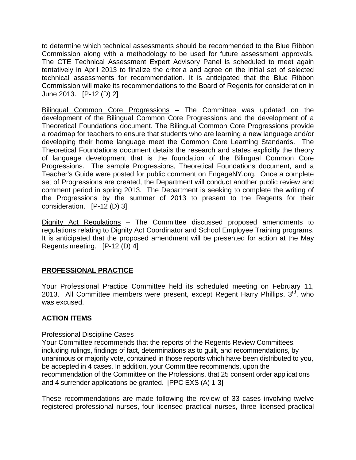to determine which technical assessments should be recommended to the Blue Ribbon Commission along with a methodology to be used for future assessment approvals. The CTE Technical Assessment Expert Advisory Panel is scheduled to meet again tentatively in April 2013 to finalize the criteria and agree on the initial set of selected technical assessments for recommendation. It is anticipated that the Blue Ribbon Commission will make its recommendations to the Board of Regents for consideration in June 2013. [P-12 (D) 2]

Bilingual Common Core Progressions - The Committee was updated on the development of the Bilingual Common Core Progressions and the development of a Theoretical Foundations document. The Bilingual Common Core Progressions provide a roadmap for teachers to ensure that students who are learning a new language and/or developing their home language meet the Common Core Learning Standards. The Theoretical Foundations document details the research and states explicitly the theory of language development that is the foundation of the Bilingual Common Core Progressions. The sample Progressions, Theoretical Foundations document, and a Teacher's Guide were posted for public comment on EngageNY.org. Once a complete set of Progressions are created, the Department will conduct another public review and comment period in spring 2013. The Department is seeking to complete the writing of the Progressions by the summer of 2013 to present to the Regents for their consideration. [P-12 (D) 3]

Dignity Act Regulations - The Committee discussed proposed amendments to regulations relating to Dignity Act Coordinator and School Employee Training programs. It is anticipated that the proposed amendment will be presented for action at the May Regents meeting. [P-12 (D) 4]

# **PROFESSIONAL PRACTICE**

Your Professional Practice Committee held its scheduled meeting on February 11, 2013. All Committee members were present, except Regent Harry Phillips,  $3<sup>rd</sup>$ , who was excused.

## **ACTION ITEMS**

## Professional Discipline Cases

Your Committee recommends that the reports of the Regents Review Committees, including rulings, findings of fact, determinations as to guilt, and recommendations, by unanimous or majority vote, contained in those reports which have been distributed to you, be accepted in 4 cases. In addition, your Committee recommends, upon the recommendation of the Committee on the Professions, that 25 consent order applications and 4 surrender applications be granted. [PPC EXS (A) 1-3]

These recommendations are made following the review of 33 cases involving twelve registered professional nurses, four licensed practical nurses, three licensed practical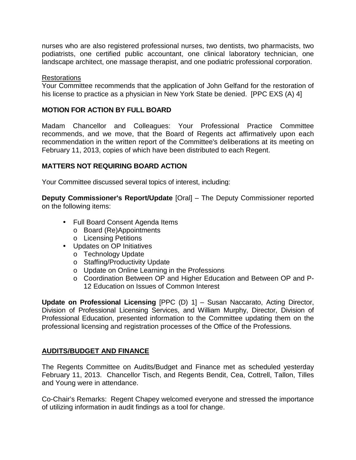nurses who are also registered professional nurses, two dentists, two pharmacists, two podiatrists, one certified public accountant, one clinical laboratory technician, one landscape architect, one massage therapist, and one podiatric professional corporation.

#### Restorations

Your Committee recommends that the application of John Gelfand for the restoration of his license to practice as a physician in New York State be denied. [PPC EXS (A) 4]

#### **MOTION FOR ACTION BY FULL BOARD**

Madam Chancellor and Colleagues: Your Professional Practice Committee recommends, and we move, that the Board of Regents act affirmatively upon each recommendation in the written report of the Committee's deliberations at its meeting on February 11, 2013, copies of which have been distributed to each Regent.

#### **MATTERS NOT REQUIRING BOARD ACTION**

Your Committee discussed several topics of interest, including:

**Deputy Commissioner's Report/Update** [Oral] – The Deputy Commissioner reported on the following items:

- Full Board Consent Agenda Items
	- o Board (Re)Appointments
	- o Licensing Petitions
- Updates on OP Initiatives
	- o Technology Update
	- o Staffing/Productivity Update
	- o Update on Online Learning in the Professions
	- o Coordination Between OP and Higher Education and Between OP and P-12 Education on Issues of Common Interest

**Update on Professional Licensing** [PPC (D) 1] – Susan Naccarato, Acting Director, Division of Professional Licensing Services, and William Murphy, Director, Division of Professional Education, presented information to the Committee updating them on the professional licensing and registration processes of the Office of the Professions.

## **AUDITS/BUDGET AND FINANCE**

The Regents Committee on Audits/Budget and Finance met as scheduled yesterday February 11, 2013. Chancellor Tisch, and Regents Bendit, Cea, Cottrell, Tallon, Tilles and Young were in attendance.

Co-Chair's Remarks: Regent Chapey welcomed everyone and stressed the importance of utilizing information in audit findings as a tool for change.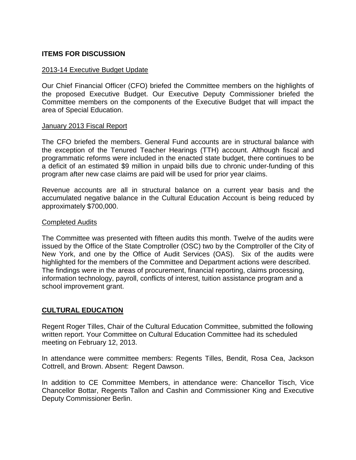# **ITEMS FOR DISCUSSION**

#### 2013-14 Executive Budget Update

Our Chief Financial Officer (CFO) briefed the Committee members on the highlights of the proposed Executive Budget. Our Executive Deputy Commissioner briefed the Committee members on the components of the Executive Budget that will impact the area of Special Education.

#### January 2013 Fiscal Report

The CFO briefed the members. General Fund accounts are in structural balance with the exception of the Tenured Teacher Hearings (TTH) account. Although fiscal and programmatic reforms were included in the enacted state budget, there continues to be a deficit of an estimated \$9 million in unpaid bills due to chronic under-funding of this program after new case claims are paid will be used for prior year claims.

Revenue accounts are all in structural balance on a current year basis and the accumulated negative balance in the Cultural Education Account is being reduced by approximately \$700,000.

#### Completed Audits

The Committee was presented with fifteen audits this month. Twelve of the audits were issued by the Office of the State Comptroller (OSC) two by the Comptroller of the City of New York, and one by the Office of Audit Services (OAS). Six of the audits were highlighted for the members of the Committee and Department actions were described. The findings were in the areas of procurement, financial reporting, claims processing, information technology, payroll, conflicts of interest, tuition assistance program and a school improvement grant.

## **CULTURAL EDUCATION**

Regent Roger Tilles, Chair of the Cultural Education Committee, submitted the following written report. Your Committee on Cultural Education Committee had its scheduled meeting on February 12, 2013.

In attendance were committee members: Regents Tilles, Bendit, Rosa Cea, Jackson Cottrell, and Brown. Absent: Regent Dawson.

In addition to CE Committee Members, in attendance were: Chancellor Tisch, Vice Chancellor Bottar, Regents Tallon and Cashin and Commissioner King and Executive Deputy Commissioner Berlin.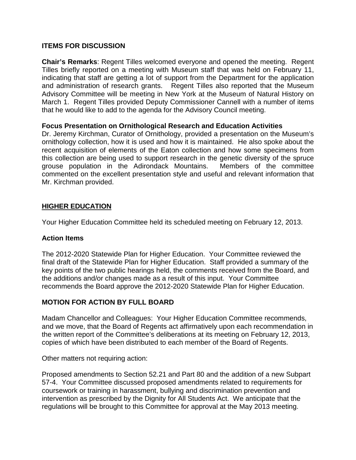## **ITEMS FOR DISCUSSION**

**Chair's Remarks**: Regent Tilles welcomed everyone and opened the meeting. Regent Tilles briefly reported on a meeting with Museum staff that was held on February 11, indicating that staff are getting a lot of support from the Department for the application and administration of research grants. Regent Tilles also reported that the Museum Advisory Committee will be meeting in New York at the Museum of Natural History on March 1. Regent Tilles provided Deputy Commissioner Cannell with a number of items that he would like to add to the agenda for the Advisory Council meeting.

## **Focus Presentation on Ornithological Research and Education Activities**

Dr. Jeremy Kirchman, Curator of Ornithology, provided a presentation on the Museum's ornithology collection, how it is used and how it is maintained. He also spoke about the recent acquisition of elements of the Eaton collection and how some specimens from this collection are being used to support research in the genetic diversity of the spruce grouse population in the Adirondack Mountains. Members of the committee commented on the excellent presentation style and useful and relevant information that Mr. Kirchman provided.

## **HIGHER EDUCATION**

Your Higher Education Committee held its scheduled meeting on February 12, 2013.

## **Action Items**

The 2012-2020 Statewide Plan for Higher Education. Your Committee reviewed the final draft of the Statewide Plan for Higher Education. Staff provided a summary of the key points of the two public hearings held, the comments received from the Board, and the additions and/or changes made as a result of this input. Your Committee recommends the Board approve the 2012-2020 Statewide Plan for Higher Education.

## **MOTION FOR ACTION BY FULL BOARD**

Madam Chancellor and Colleagues: Your Higher Education Committee recommends, and we move, that the Board of Regents act affirmatively upon each recommendation in the written report of the Committee's deliberations at its meeting on February 12, 2013, copies of which have been distributed to each member of the Board of Regents.

Other matters not requiring action:

Proposed amendments to Section 52.21 and Part 80 and the addition of a new Subpart 57-4. Your Committee discussed proposed amendments related to requirements for coursework or training in harassment, bullying and discrimination prevention and intervention as prescribed by the Dignity for All Students Act. We anticipate that the regulations will be brought to this Committee for approval at the May 2013 meeting.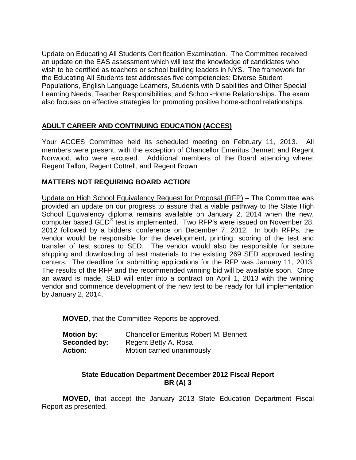Update on Educating All Students Certification Examination. The Committee received an update on the EAS assessment which will test the knowledge of candidates who wish to be certified as teachers or school building leaders in NYS. The framework for the Educating All Students test addresses five competencies: Diverse Student Populations, English Language Learners, Students with Disabilities and Other Special Learning Needs, Teacher Responsibilities, and School-Home Relationships. The exam also focuses on effective strategies for promoting positive home-school relationships.

# **ADULT CAREER AND CONTINUING EDUCATION (ACCES)**

Your ACCES Committee held its scheduled meeting on February 11, 2013. All members were present, with the exception of Chancellor Emeritus Bennett and Regent Norwood, who were excused. Additional members of the Board attending where: Regent Tallon, Regent Cottrell, and Regent Brown

## **MATTERS NOT REQUIRING BOARD ACTION**

Update on High School Equivalency Request for Proposal (RFP) – The Committee was provided an update on our progress to assure that a viable pathway to the State High School Equivalency diploma remains available on January 2, 2014 when the new, computer based GED® test is implemented. Two RFP's were issued on November 28, 2012 followed by a bidders' conference on December 7, 2012. In both RFPs, the vendor would be responsible for the development, printing, scoring of the test and transfer of test scores to SED. The vendor would also be responsible for secure shipping and downloading of test materials to the existing 269 SED approved testing centers. The deadline for submitting applications for the RFP was January 11, 2013. The results of the RFP and the recommended winning bid will be available soon. Once an award is made, SED will enter into a contract on April 1, 2013 with the winning vendor and commence development of the new test to be ready for full implementation by January 2, 2014.

**MOVED**, that the Committee Reports be approved.

| <b>Motion by:</b> | <b>Chancellor Emeritus Robert M. Bennett</b> |
|-------------------|----------------------------------------------|
| Seconded by:      | Regent Betty A. Rosa                         |
| <b>Action:</b>    | Motion carried unanimously                   |

## **State Education Department December 2012 Fiscal Report BR (A) 3**

**MOVED,** that accept the January 2013 State Education Department Fiscal Report as presented.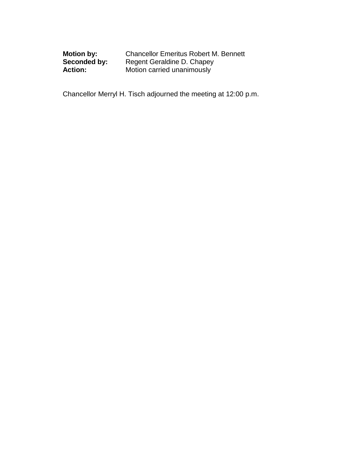| <b>Motion by:</b> | <b>Chancellor Emeritus Robert M. Bennett</b> |
|-------------------|----------------------------------------------|
| Seconded by:      | Regent Geraldine D. Chapey                   |
| <b>Action:</b>    | Motion carried unanimously                   |

Chancellor Merryl H. Tisch adjourned the meeting at 12:00 p.m.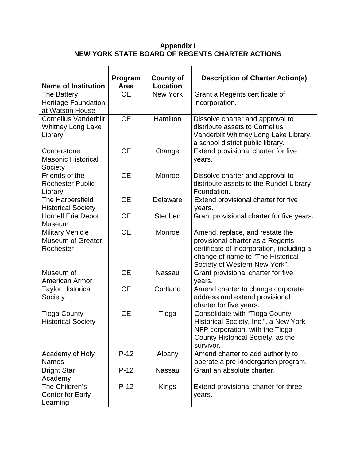## **Appendix I NEW YORK STATE BOARD OF REGENTS CHARTER ACTIONS**

| <b>Name of Institution</b>                                         | Program<br>Area | <b>County of</b><br><b>Location</b> | <b>Description of Charter Action(s)</b>                                                                                                                                                |
|--------------------------------------------------------------------|-----------------|-------------------------------------|----------------------------------------------------------------------------------------------------------------------------------------------------------------------------------------|
| The Battery<br><b>Heritage Foundation</b><br>at Watson House       | <b>CE</b>       | New York                            | Grant a Regents certificate of<br>incorporation.                                                                                                                                       |
| <b>Cornelius Vanderbilt</b><br><b>Whitney Long Lake</b><br>Library | <b>CE</b>       | Hamilton                            | Dissolve charter and approval to<br>distribute assets to Cornelius<br>Vanderbilt Whitney Long Lake Library,<br>a school district public library.                                       |
| Cornerstone<br><b>Masonic Historical</b><br>Society                | <b>CE</b>       | Orange                              | Extend provisional charter for five<br>years.                                                                                                                                          |
| Friends of the<br><b>Rochester Public</b><br>Library               | <b>CE</b>       | Monroe                              | Dissolve charter and approval to<br>distribute assets to the Rundel Library<br>Foundation.                                                                                             |
| The Harpersfield<br><b>Historical Society</b>                      | <b>CE</b>       | Delaware                            | Extend provisional charter for five<br>years.                                                                                                                                          |
| <b>Hornell Erie Depot</b><br>Museum                                | <b>CE</b>       | Steuben                             | Grant provisional charter for five years.                                                                                                                                              |
| <b>Military Vehicle</b><br><b>Museum of Greater</b><br>Rochester   | <b>CE</b>       | Monroe                              | Amend, replace, and restate the<br>provisional charter as a Regents<br>certificate of incorporation, including a<br>change of name to "The Historical<br>Society of Western New York". |
| Museum of<br>American Armor                                        | <b>CE</b>       | <b>Nassau</b>                       | Grant provisional charter for five<br>years.                                                                                                                                           |
| <b>Taylor Historical</b><br>Society                                | <b>CE</b>       | Cortland                            | Amend charter to change corporate<br>address and extend provisional<br>charter for five years.                                                                                         |
| <b>Tioga County</b><br><b>Historical Society</b>                   | <b>CE</b>       | Tioga                               | <b>Consolidate with "Tioga County</b><br>Historical Society, Inc.", a New York<br>NFP corporation, with the Tioga<br>County Historical Society, as the<br>survivor.                    |
| Academy of Holy<br><b>Names</b>                                    | $P-12$          | Albany                              | Amend charter to add authority to<br>operate a pre-kindergarten program.                                                                                                               |
| <b>Bright Star</b><br>Academy                                      | $P-12$          | Nassau                              | Grant an absolute charter.                                                                                                                                                             |
| The Children's<br>Center for Early<br>Learning                     | $P-12$          | <b>Kings</b>                        | Extend provisional charter for three<br>years.                                                                                                                                         |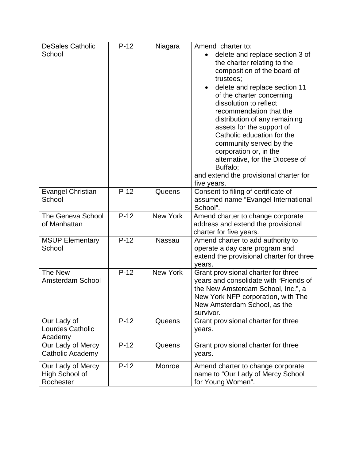| <b>DeSales Catholic</b>                          | $P-12$ | Niagara         | Amend charter to:                                                                                                                                                                                                                                                                                                                                                                                                                                                                      |
|--------------------------------------------------|--------|-----------------|----------------------------------------------------------------------------------------------------------------------------------------------------------------------------------------------------------------------------------------------------------------------------------------------------------------------------------------------------------------------------------------------------------------------------------------------------------------------------------------|
| School                                           |        |                 | delete and replace section 3 of<br>the charter relating to the<br>composition of the board of<br>trustees;<br>delete and replace section 11<br>of the charter concerning<br>dissolution to reflect<br>recommendation that the<br>distribution of any remaining<br>assets for the support of<br>Catholic education for the<br>community served by the<br>corporation or, in the<br>alternative, for the Diocese of<br>Buffalo;<br>and extend the provisional charter for<br>five years. |
| <b>Evangel Christian</b><br>School               | $P-12$ | Queens          | Consent to filing of certificate of<br>assumed name "Evangel International<br>School".                                                                                                                                                                                                                                                                                                                                                                                                 |
| <b>The Geneva School</b><br>of Manhattan         | $P-12$ | <b>New York</b> | Amend charter to change corporate<br>address and extend the provisional<br>charter for five years.                                                                                                                                                                                                                                                                                                                                                                                     |
| <b>MSUP Elementary</b><br>School                 | $P-12$ | Nassau          | Amend charter to add authority to<br>operate a day care program and<br>extend the provisional charter for three<br>years.                                                                                                                                                                                                                                                                                                                                                              |
| The New<br><b>Amsterdam School</b>               | $P-12$ | <b>New York</b> | Grant provisional charter for three<br>years and consolidate with "Friends of<br>the New Amsterdam School, Inc.", a<br>New York NFP corporation, with The<br>New Amsterdam School, as the<br>survivor.                                                                                                                                                                                                                                                                                 |
| Our Lady of<br>Lourdes Catholic<br>Academy       | $P-12$ | Queens          | Grant provisional charter for three<br>years.                                                                                                                                                                                                                                                                                                                                                                                                                                          |
| Our Lady of Mercy<br>Catholic Academy            | $P-12$ | Queens          | Grant provisional charter for three<br>years.                                                                                                                                                                                                                                                                                                                                                                                                                                          |
| Our Lady of Mercy<br>High School of<br>Rochester | $P-12$ | Monroe          | Amend charter to change corporate<br>name to "Our Lady of Mercy School<br>for Young Women".                                                                                                                                                                                                                                                                                                                                                                                            |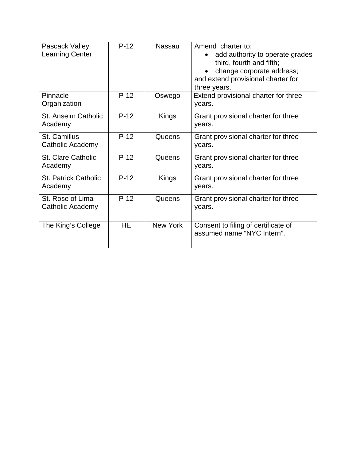| Pascack Valley<br><b>Learning Center</b> | $P-12$    | <b>Nassau</b>   | Amend charter to:<br>add authority to operate grades<br>third, fourth and fifth;<br>change corporate address;<br>and extend provisional charter for<br>three years. |
|------------------------------------------|-----------|-----------------|---------------------------------------------------------------------------------------------------------------------------------------------------------------------|
| Pinnacle<br>Organization                 | $P-12$    | Oswego          | Extend provisional charter for three<br>years.                                                                                                                      |
| St. Anselm Catholic<br>Academy           | $P-12$    | Kings           | Grant provisional charter for three<br>years.                                                                                                                       |
| St. Camillus<br>Catholic Academy         | $P-12$    | <b>Queens</b>   | Grant provisional charter for three<br>years.                                                                                                                       |
| <b>St. Clare Catholic</b><br>Academy     | $P-12$    | Queens          | Grant provisional charter for three<br>years.                                                                                                                       |
| <b>St. Patrick Catholic</b><br>Academy   | $P-12$    | Kings           | Grant provisional charter for three<br>years.                                                                                                                       |
| St. Rose of Lima<br>Catholic Academy     | $P-12$    | Queens          | Grant provisional charter for three<br>years.                                                                                                                       |
| The King's College                       | <b>HE</b> | <b>New York</b> | Consent to filing of certificate of<br>assumed name "NYC Intern".                                                                                                   |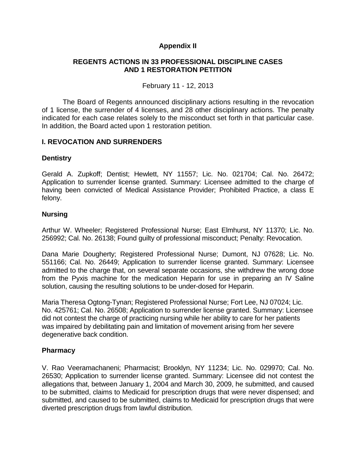## **Appendix II**

## **REGENTS ACTIONS IN 33 PROFESSIONAL DISCIPLINE CASES AND 1 RESTORATION PETITION**

February 11 - 12, 2013

The Board of Regents announced disciplinary actions resulting in the revocation of 1 license, the surrender of 4 licenses, and 28 other disciplinary actions. The penalty indicated for each case relates solely to the misconduct set forth in that particular case. In addition, the Board acted upon 1 restoration petition.

## **I. REVOCATION AND SURRENDERS**

## **Dentistry**

Gerald A. Zupkoff; Dentist; Hewlett, NY 11557; Lic. No. 021704; Cal. No. 26472; Application to surrender license granted. Summary: Licensee admitted to the charge of having been convicted of Medical Assistance Provider; Prohibited Practice, a class E felony.

## **Nursing**

Arthur W. Wheeler; Registered Professional Nurse; East Elmhurst, NY 11370; Lic. No. 256992; Cal. No. 26138; Found guilty of professional misconduct; Penalty: Revocation.

Dana Marie Dougherty; Registered Professional Nurse; Dumont, NJ 07628; Lic. No. 551166; Cal. No. 26449; Application to surrender license granted. Summary: Licensee admitted to the charge that, on several separate occasions, she withdrew the wrong dose from the Pyxis machine for the medication Heparin for use in preparing an IV Saline solution, causing the resulting solutions to be under-dosed for Heparin.

Maria Theresa Ogtong-Tynan; Registered Professional Nurse; Fort Lee, NJ 07024; Lic. No. 425761; Cal. No. 26508; Application to surrender license granted. Summary: Licensee did not contest the charge of practicing nursing while her ability to care for her patients was impaired by debilitating pain and limitation of movement arising from her severe degenerative back condition.

## **Pharmacy**

V. Rao Veeramachaneni; Pharmacist; Brooklyn, NY 11234; Lic. No. 029970; Cal. No. 26530; Application to surrender license granted. Summary: Licensee did not contest the allegations that, between January 1, 2004 and March 30, 2009, he submitted, and caused to be submitted, claims to Medicaid for prescription drugs that were never dispensed; and submitted, and caused to be submitted, claims to Medicaid for prescription drugs that were diverted prescription drugs from lawful distribution.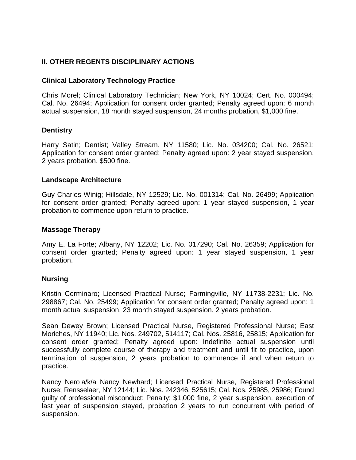# **II. OTHER REGENTS DISCIPLINARY ACTIONS**

## **Clinical Laboratory Technology Practice**

Chris Morel; Clinical Laboratory Technician; New York, NY 10024; Cert. No. 000494; Cal. No. 26494; Application for consent order granted; Penalty agreed upon: 6 month actual suspension, 18 month stayed suspension, 24 months probation, \$1,000 fine.

## **Dentistry**

Harry Satin; Dentist; Valley Stream, NY 11580; Lic. No. 034200; Cal. No. 26521; Application for consent order granted; Penalty agreed upon: 2 year stayed suspension, 2 years probation, \$500 fine.

## **Landscape Architecture**

Guy Charles Winig; Hillsdale, NY 12529; Lic. No. 001314; Cal. No. 26499; Application for consent order granted; Penalty agreed upon: 1 year stayed suspension, 1 year probation to commence upon return to practice.

## **Massage Therapy**

Amy E. La Forte; Albany, NY 12202; Lic. No. 017290; Cal. No. 26359; Application for consent order granted; Penalty agreed upon: 1 year stayed suspension, 1 year probation.

## **Nursing**

Kristin Cerminaro; Licensed Practical Nurse; Farmingville, NY 11738-2231; Lic. No. 298867; Cal. No. 25499; Application for consent order granted; Penalty agreed upon: 1 month actual suspension, 23 month stayed suspension, 2 years probation.

Sean Dewey Brown; Licensed Practical Nurse, Registered Professional Nurse; East Moriches, NY 11940; Lic. Nos. 249702, 514117; Cal. Nos. 25816, 25815; Application for consent order granted; Penalty agreed upon: Indefinite actual suspension until successfully complete course of therapy and treatment and until fit to practice, upon termination of suspension, 2 years probation to commence if and when return to practice.

Nancy Nero a/k/a Nancy Newhard; Licensed Practical Nurse, Registered Professional Nurse; Rensselaer, NY 12144; Lic. Nos. 242346, 525615; Cal. Nos. 25985, 25986; Found guilty of professional misconduct; Penalty: \$1,000 fine, 2 year suspension, execution of last year of suspension stayed, probation 2 years to run concurrent with period of suspension.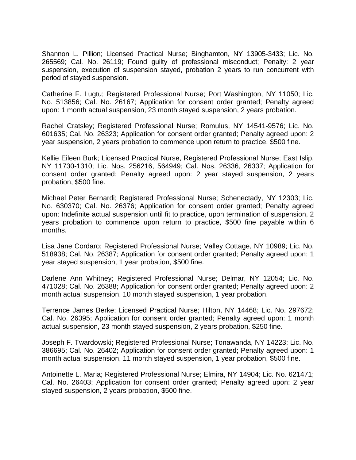Shannon L. Pillion; Licensed Practical Nurse; Binghamton, NY 13905-3433; Lic. No. 265569; Cal. No. 26119; Found guilty of professional misconduct; Penalty: 2 year suspension, execution of suspension stayed, probation 2 years to run concurrent with period of stayed suspension.

Catherine F. Lugtu; Registered Professional Nurse; Port Washington, NY 11050; Lic. No. 513856; Cal. No. 26167; Application for consent order granted; Penalty agreed upon: 1 month actual suspension, 23 month stayed suspension, 2 years probation.

Rachel Cratsley; Registered Professional Nurse; Romulus, NY 14541-9576; Lic. No. 601635; Cal. No. 26323; Application for consent order granted; Penalty agreed upon: 2 year suspension, 2 years probation to commence upon return to practice, \$500 fine.

Kellie Eileen Burk; Licensed Practical Nurse, Registered Professional Nurse; East Islip, NY 11730-1310; Lic. Nos. 256216, 564949; Cal. Nos. 26336, 26337; Application for consent order granted; Penalty agreed upon: 2 year stayed suspension, 2 years probation, \$500 fine.

Michael Peter Bernardi; Registered Professional Nurse; Schenectady, NY 12303; Lic. No. 630370; Cal. No. 26376; Application for consent order granted; Penalty agreed upon: Indefinite actual suspension until fit to practice, upon termination of suspension, 2 years probation to commence upon return to practice, \$500 fine payable within 6 months.

Lisa Jane Cordaro; Registered Professional Nurse; Valley Cottage, NY 10989; Lic. No. 518938; Cal. No. 26387; Application for consent order granted; Penalty agreed upon: 1 year stayed suspension, 1 year probation, \$500 fine.

Darlene Ann Whitney; Registered Professional Nurse; Delmar, NY 12054; Lic. No. 471028; Cal. No. 26388; Application for consent order granted; Penalty agreed upon: 2 month actual suspension, 10 month stayed suspension, 1 year probation.

Terrence James Berke; Licensed Practical Nurse; Hilton, NY 14468; Lic. No. 297672; Cal. No. 26395; Application for consent order granted; Penalty agreed upon: 1 month actual suspension, 23 month stayed suspension, 2 years probation, \$250 fine.

Joseph F. Twardowski; Registered Professional Nurse; Tonawanda, NY 14223; Lic. No. 386695; Cal. No. 26402; Application for consent order granted; Penalty agreed upon: 1 month actual suspension, 11 month stayed suspension, 1 year probation, \$500 fine.

Antoinette L. Maria; Registered Professional Nurse; Elmira, NY 14904; Lic. No. 621471; Cal. No. 26403; Application for consent order granted; Penalty agreed upon: 2 year stayed suspension, 2 years probation, \$500 fine.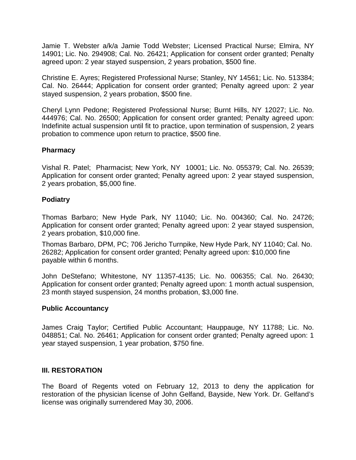Jamie T. Webster a/k/a Jamie Todd Webster; Licensed Practical Nurse; Elmira, NY 14901; Lic. No. 294908; Cal. No. 26421; Application for consent order granted; Penalty agreed upon: 2 year stayed suspension, 2 years probation, \$500 fine.

Christine E. Ayres; Registered Professional Nurse; Stanley, NY 14561; Lic. No. 513384; Cal. No. 26444; Application for consent order granted; Penalty agreed upon: 2 year stayed suspension, 2 years probation, \$500 fine.

Cheryl Lynn Pedone; Registered Professional Nurse; Burnt Hills, NY 12027; Lic. No. 444976; Cal. No. 26500; Application for consent order granted; Penalty agreed upon: Indefinite actual suspension until fit to practice, upon termination of suspension, 2 years probation to commence upon return to practice, \$500 fine.

## **Pharmacy**

Vishal R. Patel; Pharmacist; New York, NY 10001; Lic. No. 055379; Cal. No. 26539; Application for consent order granted; Penalty agreed upon: 2 year stayed suspension, 2 years probation, \$5,000 fine.

## **Podiatry**

Thomas Barbaro; New Hyde Park, NY 11040; Lic. No. 004360; Cal. No. 24726; Application for consent order granted; Penalty agreed upon: 2 year stayed suspension, 2 years probation, \$10,000 fine.

Thomas Barbaro, DPM, PC; 706 Jericho Turnpike, New Hyde Park, NY 11040; Cal. No. 26282; Application for consent order granted; Penalty agreed upon: \$10,000 fine payable within 6 months.

John DeStefano; Whitestone, NY 11357-4135; Lic. No. 006355; Cal. No. 26430; Application for consent order granted; Penalty agreed upon: 1 month actual suspension, 23 month stayed suspension, 24 months probation, \$3,000 fine.

## **Public Accountancy**

James Craig Taylor; Certified Public Accountant; Hauppauge, NY 11788; Lic. No. 048851; Cal. No. 26461; Application for consent order granted; Penalty agreed upon: 1 year stayed suspension, 1 year probation, \$750 fine.

## **III. RESTORATION**

The Board of Regents voted on February 12, 2013 to deny the application for restoration of the physician license of John Gelfand, Bayside, New York. Dr. Gelfand's license was originally surrendered May 30, 2006.